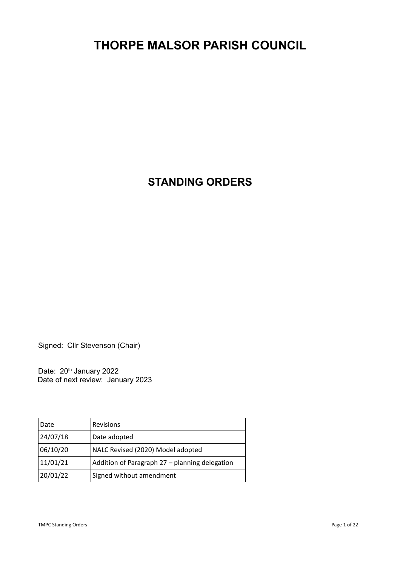# **THORPE MALSOR PARISH COUNCIL**

**STANDING ORDERS**

Signed: Cllr Stevenson (Chair)

Date: 20<sup>th</sup> January 2022 Date of next review: January 2023

| Date     | Revisions                                      |
|----------|------------------------------------------------|
| 24/07/18 | Date adopted                                   |
| 06/10/20 | NALC Revised (2020) Model adopted              |
| 11/01/21 | Addition of Paragraph 27 - planning delegation |
| 20/01/22 | Signed without amendment                       |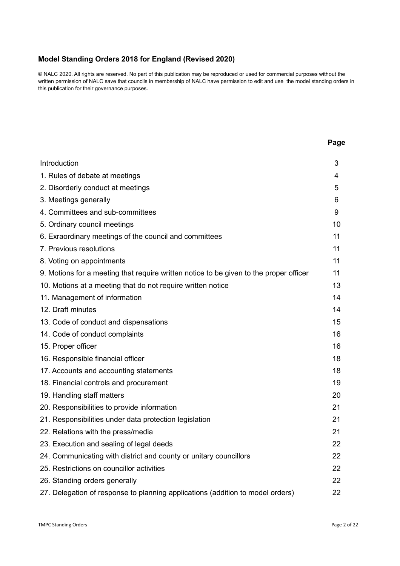# **Model Standing Orders 2018 for England (Revised 2020)**

© NALC 2020. All rights are reserved. No part of this publication may be reproduced or used for commercial purposes without the written permission of NALC save that councils in membership of NALC have permission to edit and use the model standing orders in this publication for their governance purposes.

| Introduction                                                                           |    |
|----------------------------------------------------------------------------------------|----|
| 1. Rules of debate at meetings                                                         |    |
| 2. Disorderly conduct at meetings                                                      |    |
| 3. Meetings generally                                                                  |    |
| 4. Committees and sub-committees                                                       |    |
| 5. Ordinary council meetings                                                           |    |
| 6. Exraordinary meetings of the council and committees                                 |    |
| 7. Previous resolutions                                                                |    |
| 8. Voting on appointments                                                              | 11 |
| 9. Motions for a meeting that require written notice to be given to the proper officer | 11 |
| 10. Motions at a meeting that do not require written notice                            | 13 |
| 11. Management of information                                                          | 14 |
| 12. Draft minutes                                                                      | 14 |
| 13. Code of conduct and dispensations                                                  | 15 |
| 14. Code of conduct complaints                                                         | 16 |
| 15. Proper officer                                                                     | 16 |
| 16. Responsible financial officer                                                      | 18 |
| 17. Accounts and accounting statements                                                 | 18 |
| 18. Financial controls and procurement                                                 | 19 |
| 19. Handling staff matters                                                             | 20 |
| 20. Responsibilities to provide information                                            | 21 |
| 21. Responsibilities under data protection legislation                                 | 21 |
| 22. Relations with the press/media                                                     | 21 |
| 23. Execution and sealing of legal deeds                                               | 22 |
| 24. Communicating with district and county or unitary councillors                      | 22 |
| 25. Restrictions on councillor activities                                              |    |
| 26. Standing orders generally                                                          | 22 |
| 27. Delegation of response to planning applications (addition to model orders)         | 22 |

**Page**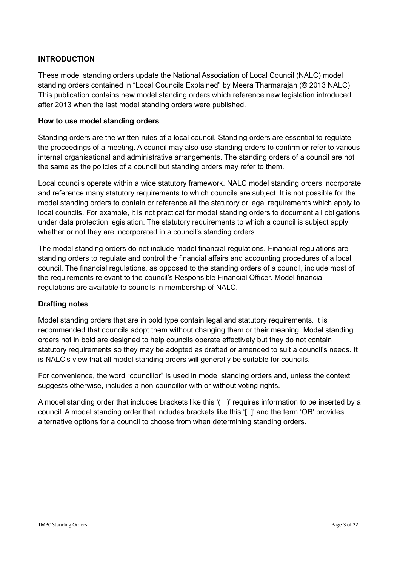## **INTRODUCTION**

These model standing orders update the National Association of Local Council (NALC) model standing orders contained in "Local Councils Explained" by Meera Tharmarajah (© 2013 NALC). This publication contains new model standing orders which reference new legislation introduced after 2013 when the last model standing orders were published.

#### **How to use model standing orders**

Standing orders are the written rules of a local council. Standing orders are essential to regulate the proceedings of a meeting. A council may also use standing orders to confirm or refer to various internal organisational and administrative arrangements. The standing orders of a council are not the same as the policies of a council but standing orders may refer to them.

Local councils operate within a wide statutory framework. NALC model standing orders incorporate and reference many statutory requirements to which councils are subject. It is not possible for the model standing orders to contain or reference all the statutory or legal requirements which apply to local councils. For example, it is not practical for model standing orders to document all obligations under data protection legislation. The statutory requirements to which a council is subject apply whether or not they are incorporated in a council's standing orders.

The model standing orders do not include model financial regulations. Financial regulations are standing orders to regulate and control the financial affairs and accounting procedures of a local council. The financial regulations, as opposed to the standing orders of a council, include most of the requirements relevant to the council's Responsible Financial Officer. Model financial regulations are available to councils in membership of NALC.

# **Drafting notes**

Model standing orders that are in bold type contain legal and statutory requirements. It is recommended that councils adopt them without changing them or their meaning. Model standing orders not in bold are designed to help councils operate effectively but they do not contain statutory requirements so they may be adopted as drafted or amended to suit a council's needs. It is NALC's view that all model standing orders will generally be suitable for councils.

For convenience, the word "councillor" is used in model standing orders and, unless the context suggests otherwise, includes a non-councillor with or without voting rights.

A model standing order that includes brackets like this '( )' requires information to be inserted by a council. A model standing order that includes brackets like this '[ ]' and the term 'OR' provides alternative options for a council to choose from when determining standing orders.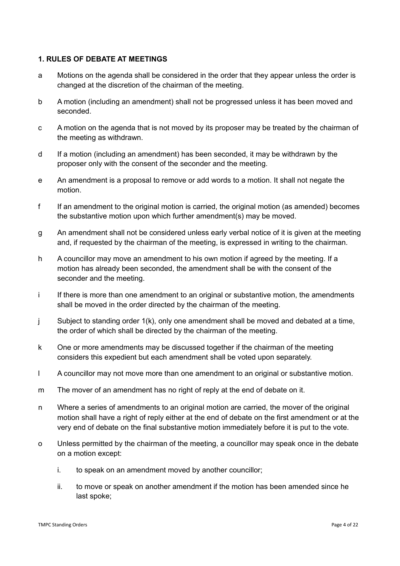## **1. RULES OF DEBATE AT MEETINGS**

- a Motions on the agenda shall be considered in the order that they appear unless the order is changed at the discretion of the chairman of the meeting.
- b A motion (including an amendment) shall not be progressed unless it has been moved and seconded.
- c A motion on the agenda that is not moved by its proposer may be treated by the chairman of the meeting as withdrawn.
- d If a motion (including an amendment) has been seconded, it may be withdrawn by the proposer only with the consent of the seconder and the meeting.
- e An amendment is a proposal to remove or add words to a motion. It shall not negate the motion.
- f If an amendment to the original motion is carried, the original motion (as amended) becomes the substantive motion upon which further amendment(s) may be moved.
- g An amendment shall not be considered unless early verbal notice of it is given at the meeting and, if requested by the chairman of the meeting, is expressed in writing to the chairman.
- h A councillor may move an amendment to his own motion if agreed by the meeting. If a motion has already been seconded, the amendment shall be with the consent of the seconder and the meeting.
- i If there is more than one amendment to an original or substantive motion, the amendments shall be moved in the order directed by the chairman of the meeting.
- j Subject to standing order 1(k), only one amendment shall be moved and debated at a time, the order of which shall be directed by the chairman of the meeting.
- k One or more amendments may be discussed together if the chairman of the meeting considers this expedient but each amendment shall be voted upon separately.
- l A councillor may not move more than one amendment to an original or substantive motion.
- m The mover of an amendment has no right of reply at the end of debate on it.
- n Where a series of amendments to an original motion are carried, the mover of the original motion shall have a right of reply either at the end of debate on the first amendment or at the very end of debate on the final substantive motion immediately before it is put to the vote.
- o Unless permitted by the chairman of the meeting, a councillor may speak once in the debate on a motion except:
	- i. to speak on an amendment moved by another councillor;
	- ii. to move or speak on another amendment if the motion has been amended since he last spoke;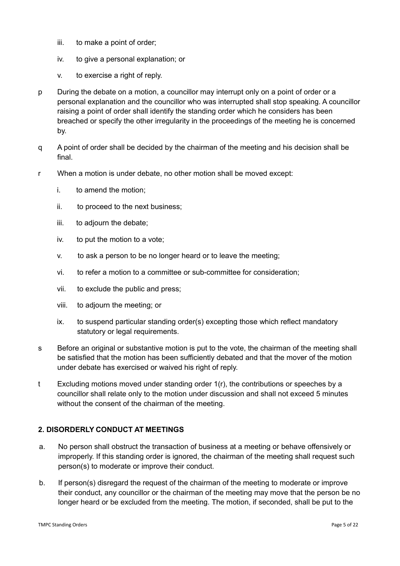- iii. to make a point of order;
- iv. to give a personal explanation; or
- v. to exercise a right of reply.
- p During the debate on a motion, a councillor may interrupt only on a point of order or a personal explanation and the councillor who was interrupted shall stop speaking. A councillor raising a point of order shall identify the standing order which he considers has been breached or specify the other irregularity in the proceedings of the meeting he is concerned by.
- q A point of order shall be decided by the chairman of the meeting and his decision shall be final.
- r When a motion is under debate, no other motion shall be moved except:
	- i. to amend the motion;
	- ii. to proceed to the next business;
	- iii. to adjourn the debate;
	- iv. to put the motion to a vote;
	- v. to ask a person to be no longer heard or to leave the meeting;
	- vi. to refer a motion to a committee or sub-committee for consideration;
	- vii. to exclude the public and press;
	- viii. to adjourn the meeting; or
	- ix. to suspend particular standing order(s) excepting those which reflect mandatory statutory or legal requirements.
- s Before an original or substantive motion is put to the vote, the chairman of the meeting shall be satisfied that the motion has been sufficiently debated and that the mover of the motion under debate has exercised or waived his right of reply.
- t Excluding motions moved under standing order 1(r), the contributions or speeches by a councillor shall relate only to the motion under discussion and shall not exceed 5 minutes without the consent of the chairman of the meeting.

# **2. DISORDERLY CONDUCT AT MEETINGS**

- a. No person shall obstruct the transaction of business at a meeting or behave offensively or improperly. If this standing order is ignored, the chairman of the meeting shall request such person(s) to moderate or improve their conduct.
- b. If person(s) disregard the request of the chairman of the meeting to moderate or improve their conduct, any councillor or the chairman of the meeting may move that the person be no longer heard or be excluded from the meeting. The motion, if seconded, shall be put to the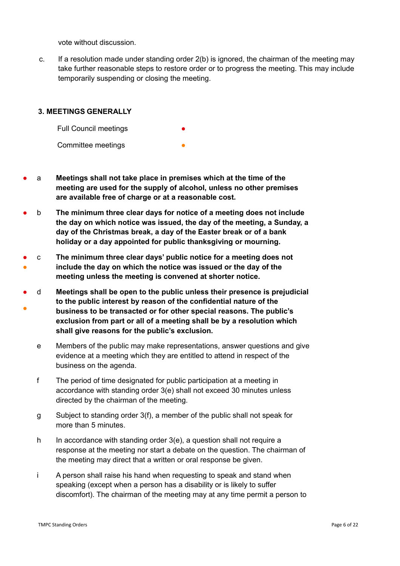vote without discussion.

c. If a resolution made under standing order 2(b) is ignored, the chairman of the meeting may take further reasonable steps to restore order or to progress the meeting. This may include temporarily suspending or closing the meeting.

## **3. MEETINGS GENERALLY**

Full Council meetings Committee meetings

- a **Meetings shall not take place in premises which at the time of the meeting are used for the supply of alcohol, unless no other premises are available free of charge or at a reasonable cost.**
- b **The minimum three clear days for notice of a meeting does not include the day on which notice was issued, the day of the meeting, a Sunday, a day of the Christmas break, a day of the Easter break or of a bank holiday or a day appointed for public thanksgiving or mourning.**
- ● c **The minimum three clear days' public notice for a meeting does not include the day on which the notice was issued or the day of the meeting unless the meeting is convened at shorter notice.**
- ● d **Meetings shall be open to the public unless their presence is prejudicial to the public interest by reason of the confidential nature of the business to be transacted or for other special reasons. The public's exclusion from part or all of a meeting shall be by a resolution which shall give reasons for the public's exclusion.**
	- e Members of the public may make representations, answer questions and give evidence at a meeting which they are entitled to attend in respect of the business on the agenda.
	- f The period of time designated for public participation at a meeting in accordance with standing order 3(e) shall not exceed 30 minutes unless directed by the chairman of the meeting.
	- g Subject to standing order 3(f), a member of the public shall not speak for more than 5 minutes.
	- h In accordance with standing order  $3(e)$ , a question shall not require a response at the meeting nor start a debate on the question. The chairman of the meeting may direct that a written or oral response be given.
	- i A person shall raise his hand when requesting to speak and stand when speaking (except when a person has a disability or is likely to suffer discomfort). The chairman of the meeting may at any time permit a person to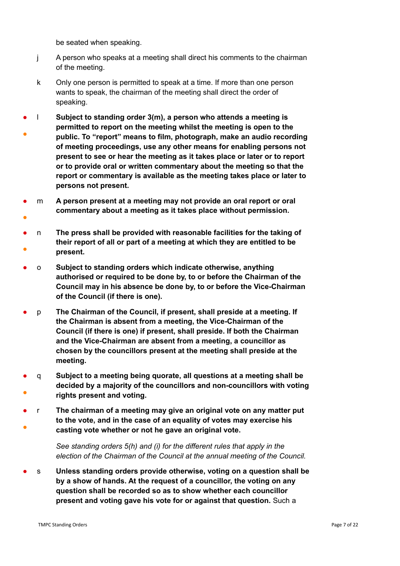be seated when speaking.

- j A person who speaks at a meeting shall direct his comments to the chairman of the meeting.
- k Only one person is permitted to speak at a time. If more than one person wants to speak, the chairman of the meeting shall direct the order of speaking.
- ● l **Subject to standing order 3(m), a person who attends a meeting is permitted to report on the meeting whilst the meeting is open to the public. To "report" means to film, photograph, make an audio recording of meeting proceedings, use any other means for enabling persons not present to see or hear the meeting as it takes place or later or to report or to provide oral or written commentary about the meeting so that the report or commentary is available as the meeting takes place or later to persons not present.**
- ● m **A person present at a meeting may not provide an oral report or oral commentary about a meeting as it takes place without permission.**
- ● n **The press shall be provided with reasonable facilities for the taking of their report of all or part of a meeting at which they are entitled to be present.**
- o **Subject to standing orders which indicate otherwise, anything authorised or required to be done by, to or before the Chairman of the Council may in his absence be done by, to or before the Vice-Chairman of the Council (if there is one).**
- p **The Chairman of the Council, if present, shall preside at a meeting. If the Chairman is absent from a meeting, the Vice-Chairman of the Council (if there is one) if present, shall preside. If both the Chairman and the Vice-Chairman are absent from a meeting, a councillor as chosen by the councillors present at the meeting shall preside at the meeting.**
- ● q **Subject to a meeting being quorate, all questions at a meeting shall be decided by a majority of the councillors and non-councillors with voting rights present and voting.**
- ● r **The chairman of a meeting may give an original vote on any matter put to the vote, and in the case of an equality of votes may exercise his casting vote whether or not he gave an original vote.**

*See standing orders 5(h) and (i) for the different rules that apply in the election of the Chairman of the Council at the annual meeting of the Council.*

● s **Unless standing orders provide otherwise, voting on a question shall be by a show of hands. At the request of a councillor, the voting on any question shall be recorded so as to show whether each councillor present and voting gave his vote for or against that question.** Such a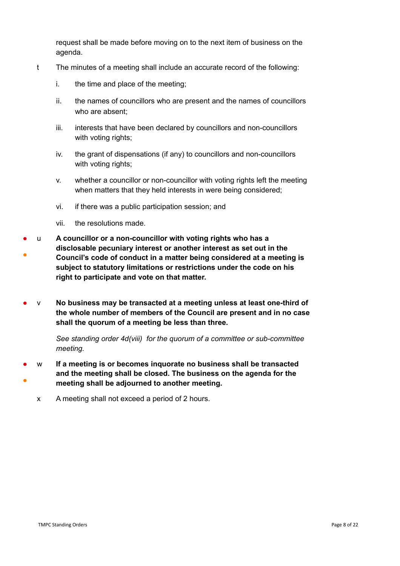request shall be made before moving on to the next item of business on the agenda.

- t The minutes of a meeting shall include an accurate record of the following:
	- i. the time and place of the meeting;
	- ii. the names of councillors who are present and the names of councillors who are absent;
	- iii. interests that have been declared by councillors and non-councillors with voting rights;
	- iv. the grant of dispensations (if any) to councillors and non-councillors with voting rights;
	- v. whether a councillor or non-councillor with voting rights left the meeting when matters that they held interests in were being considered;
	- vi. if there was a public participation session; and
	- vii. the resolutions made.
- ● u **A councillor or a non-councillor with voting rights who has a disclosable pecuniary interest or another interest as set out in the Council's code of conduct in a matter being considered at a meeting is subject to statutory limitations or restrictions under the code on his right to participate and vote on that matter.**
- v **No business may be transacted at a meeting unless at least one-third of the whole number of members of the Council are present and in no case shall the quorum of a meeting be less than three.**

*See standing order 4d(viii) for the quorum of a committee or sub-committee meeting.* 

- ● w **If a meeting is or becomes inquorate no business shall be transacted and the meeting shall be closed. The business on the agenda for the meeting shall be adjourned to another meeting.** 
	- x A meeting shall not exceed a period of 2 hours.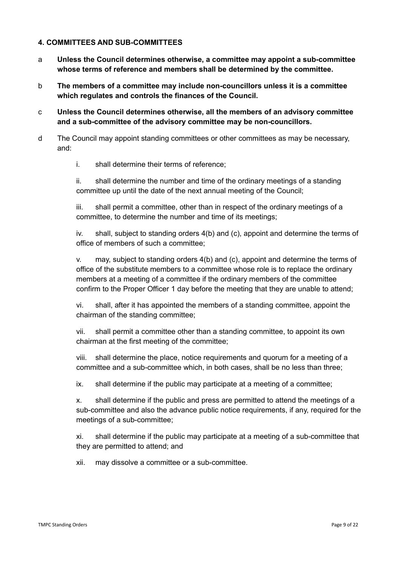## **4. COMMITTEES AND SUB-COMMITTEES**

- a **Unless the Council determines otherwise, a committee may appoint a sub-committee whose terms of reference and members shall be determined by the committee.**
- b **The members of a committee may include non-councillors unless it is a committee which regulates and controls the finances of the Council.**
- c **Unless the Council determines otherwise, all the members of an advisory committee and a sub-committee of the advisory committee may be non-councillors.**
- d The Council may appoint standing committees or other committees as may be necessary, and:
	- i. shall determine their terms of reference;

ii. shall determine the number and time of the ordinary meetings of a standing committee up until the date of the next annual meeting of the Council;

iii. shall permit a committee, other than in respect of the ordinary meetings of a committee, to determine the number and time of its meetings;

iv. shall, subject to standing orders 4(b) and (c), appoint and determine the terms of office of members of such a committee;

v. may, subject to standing orders 4(b) and (c), appoint and determine the terms of office of the substitute members to a committee whose role is to replace the ordinary members at a meeting of a committee if the ordinary members of the committee confirm to the Proper Officer 1 day before the meeting that they are unable to attend;

vi. shall, after it has appointed the members of a standing committee, appoint the chairman of the standing committee;

vii. shall permit a committee other than a standing committee, to appoint its own chairman at the first meeting of the committee;

viii. shall determine the place, notice requirements and quorum for a meeting of a committee and a sub-committee which, in both cases, shall be no less than three;

ix. shall determine if the public may participate at a meeting of a committee;

x. shall determine if the public and press are permitted to attend the meetings of a sub-committee and also the advance public notice requirements, if any, required for the meetings of a sub-committee;

xi. shall determine if the public may participate at a meeting of a sub-committee that they are permitted to attend; and

xii. may dissolve a committee or a sub-committee.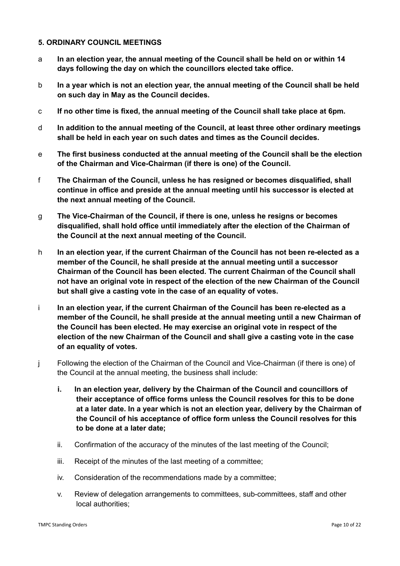#### **5. ORDINARY COUNCIL MEETINGS**

- a **In an election year, the annual meeting of the Council shall be held on or within 14 days following the day on which the councillors elected take office.**
- b **In a year which is not an election year, the annual meeting of the Council shall be held on such day in May as the Council decides.**
- c **If no other time is fixed, the annual meeting of the Council shall take place at 6pm.**
- d **In addition to the annual meeting of the Council, at least three other ordinary meetings shall be held in each year on such dates and times as the Council decides.**
- e **The first business conducted at the annual meeting of the Council shall be the election of the Chairman and Vice-Chairman (if there is one) of the Council.**
- f **The Chairman of the Council, unless he has resigned or becomes disqualified, shall continue in office and preside at the annual meeting until his successor is elected at the next annual meeting of the Council.**
- g **The Vice-Chairman of the Council, if there is one, unless he resigns or becomes disqualified, shall hold office until immediately after the election of the Chairman of the Council at the next annual meeting of the Council.**
- h **In an election year, if the current Chairman of the Council has not been re-elected as a member of the Council, he shall preside at the annual meeting until a successor Chairman of the Council has been elected. The current Chairman of the Council shall not have an original vote in respect of the election of the new Chairman of the Council but shall give a casting vote in the case of an equality of votes.**
- i **In an election year, if the current Chairman of the Council has been re-elected as a member of the Council, he shall preside at the annual meeting until a new Chairman of the Council has been elected. He may exercise an original vote in respect of the election of the new Chairman of the Council and shall give a casting vote in the case of an equality of votes.**
- j Following the election of the Chairman of the Council and Vice-Chairman (if there is one) of the Council at the annual meeting, the business shall include:
	- **i. In an election year, delivery by the Chairman of the Council and councillors of their acceptance of office forms unless the Council resolves for this to be done at a later date. In a year which is not an election year, delivery by the Chairman of the Council of his acceptance of office form unless the Council resolves for this to be done at a later date;**
	- ii. Confirmation of the accuracy of the minutes of the last meeting of the Council;
	- iii. Receipt of the minutes of the last meeting of a committee;
	- iv. Consideration of the recommendations made by a committee;
	- v. Review of delegation arrangements to committees, sub-committees, staff and other local authorities;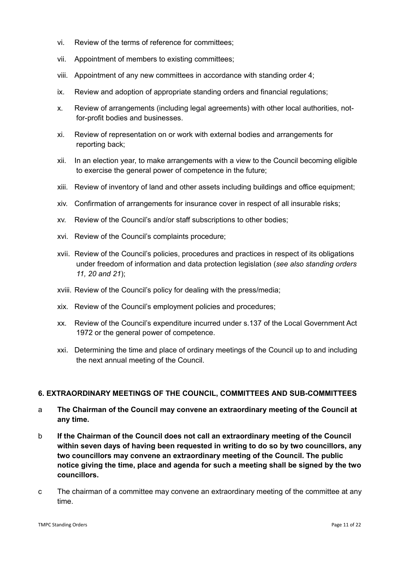- vi. Review of the terms of reference for committees;
- vii. Appointment of members to existing committees;
- viii. Appointment of any new committees in accordance with standing order 4;
- ix. Review and adoption of appropriate standing orders and financial regulations;
- x. Review of arrangements (including legal agreements) with other local authorities, notfor-profit bodies and businesses.
- xi. Review of representation on or work with external bodies and arrangements for reporting back;
- xii. In an election year, to make arrangements with a view to the Council becoming eligible to exercise the general power of competence in the future;
- xiii. Review of inventory of land and other assets including buildings and office equipment;
- xiv. Confirmation of arrangements for insurance cover in respect of all insurable risks;
- xv. Review of the Council's and/or staff subscriptions to other bodies;
- xvi. Review of the Council's complaints procedure;
- xvii. Review of the Council's policies, procedures and practices in respect of its obligations under freedom of information and data protection legislation (*see also standing orders 11, 20 and 21*);
- xviii. Review of the Council's policy for dealing with the press/media;
- xix. Review of the Council's employment policies and procedures;
- xx. Review of the Council's expenditure incurred under s.137 of the Local Government Act 1972 or the general power of competence.
- xxi. Determining the time and place of ordinary meetings of the Council up to and including the next annual meeting of the Council.

# **6. EXTRAORDINARY MEETINGS OF THE COUNCIL, COMMITTEES AND SUB-COMMITTEES**

- a **The Chairman of the Council may convene an extraordinary meeting of the Council at any time.**
- b **If the Chairman of the Council does not call an extraordinary meeting of the Council within seven days of having been requested in writing to do so by two councillors, any two councillors may convene an extraordinary meeting of the Council. The public notice giving the time, place and agenda for such a meeting shall be signed by the two councillors.**
- c The chairman of a committee may convene an extraordinary meeting of the committee at any time.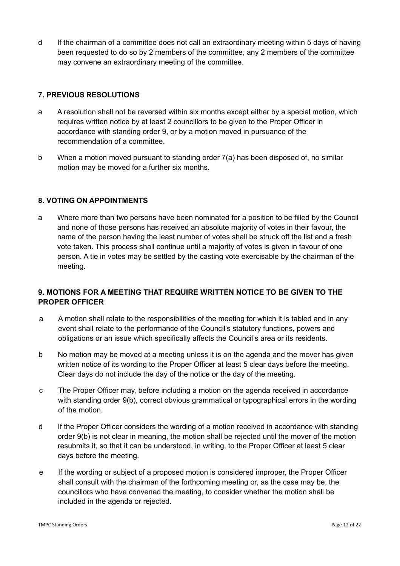d If the chairman of a committee does not call an extraordinary meeting within 5 days of having been requested to do so by 2 members of the committee, any 2 members of the committee may convene an extraordinary meeting of the committee.

# **7. PREVIOUS RESOLUTIONS**

- a A resolution shall not be reversed within six months except either by a special motion, which requires written notice by at least 2 councillors to be given to the Proper Officer in accordance with standing order 9, or by a motion moved in pursuance of the recommendation of a committee.
- b When a motion moved pursuant to standing order 7(a) has been disposed of, no similar motion may be moved for a further six months.

# **8. VOTING ON APPOINTMENTS**

a Where more than two persons have been nominated for a position to be filled by the Council and none of those persons has received an absolute majority of votes in their favour, the name of the person having the least number of votes shall be struck off the list and a fresh vote taken. This process shall continue until a majority of votes is given in favour of one person. A tie in votes may be settled by the casting vote exercisable by the chairman of the meeting.

# **9. MOTIONS FOR A MEETING THAT REQUIRE WRITTEN NOTICE TO BE GIVEN TO THE PROPER OFFICER**

- a A motion shall relate to the responsibilities of the meeting for which it is tabled and in any event shall relate to the performance of the Council's statutory functions, powers and obligations or an issue which specifically affects the Council's area or its residents.
- b No motion may be moved at a meeting unless it is on the agenda and the mover has given written notice of its wording to the Proper Officer at least 5 clear days before the meeting. Clear days do not include the day of the notice or the day of the meeting.
- c The Proper Officer may, before including a motion on the agenda received in accordance with standing order 9(b), correct obvious grammatical or typographical errors in the wording of the motion.
- d If the Proper Officer considers the wording of a motion received in accordance with standing order 9(b) is not clear in meaning, the motion shall be rejected until the mover of the motion resubmits it, so that it can be understood, in writing, to the Proper Officer at least 5 clear days before the meeting.
- e If the wording or subject of a proposed motion is considered improper, the Proper Officer shall consult with the chairman of the forthcoming meeting or, as the case may be, the councillors who have convened the meeting, to consider whether the motion shall be included in the agenda or rejected.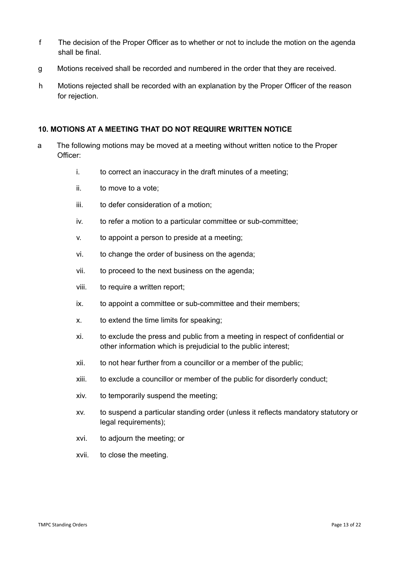- f The decision of the Proper Officer as to whether or not to include the motion on the agenda shall be final.
- g Motions received shall be recorded and numbered in the order that they are received.
- h Motions rejected shall be recorded with an explanation by the Proper Officer of the reason for rejection.

## **10. MOTIONS AT A MEETING THAT DO NOT REQUIRE WRITTEN NOTICE**

- a The following motions may be moved at a meeting without written notice to the Proper Officer:
	- i. to correct an inaccuracy in the draft minutes of a meeting;
	- ii. to move to a vote;
	- iii. to defer consideration of a motion;
	- iv. to refer a motion to a particular committee or sub-committee;
	- v. to appoint a person to preside at a meeting;
	- vi. to change the order of business on the agenda;
	- vii. to proceed to the next business on the agenda;
	- viii. to require a written report;
	- ix. to appoint a committee or sub-committee and their members;
	- x. to extend the time limits for speaking;
	- xi. to exclude the press and public from a meeting in respect of confidential or other information which is prejudicial to the public interest;
	- xii. to not hear further from a councillor or a member of the public;
	- xiii. to exclude a councillor or member of the public for disorderly conduct;
	- xiv. to temporarily suspend the meeting;
	- xv. to suspend a particular standing order (unless it reflects mandatory statutory or legal requirements);
	- xvi. to adjourn the meeting; or
	- xvii. to close the meeting.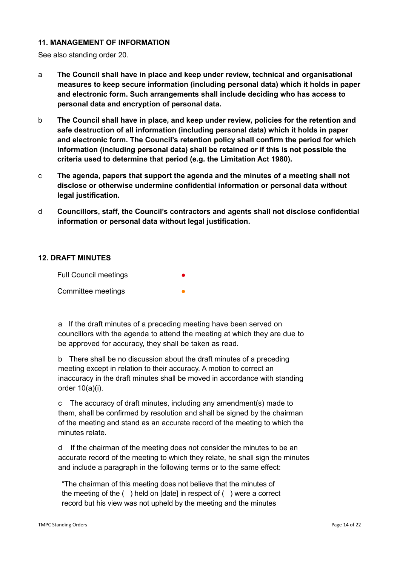## **11. MANAGEMENT OF INFORMATION**

See also standing order 20.

- a **The Council shall have in place and keep under review, technical and organisational measures to keep secure information (including personal data) which it holds in paper and electronic form. Such arrangements shall include deciding who has access to personal data and encryption of personal data.**
- b **The Council shall have in place, and keep under review, policies for the retention and safe destruction of all information (including personal data) which it holds in paper and electronic form. The Council's retention policy shall confirm the period for which information (including personal data) shall be retained or if this is not possible the criteria used to determine that period (e.g. the Limitation Act 1980).**
- c **The agenda, papers that support the agenda and the minutes of a meeting shall not disclose or otherwise undermine confidential information or personal data without legal justification.**
- d **Councillors, staff, the Council's contractors and agents shall not disclose confidential information or personal data without legal justification.**

## **12. DRAFT MINUTES**

Full Council meetings Committee meetings

a If the draft minutes of a preceding meeting have been served on councillors with the agenda to attend the meeting at which they are due to be approved for accuracy, they shall be taken as read.

b There shall be no discussion about the draft minutes of a preceding meeting except in relation to their accuracy. A motion to correct an inaccuracy in the draft minutes shall be moved in accordance with standing order 10(a)(i).

c The accuracy of draft minutes, including any amendment(s) made to them, shall be confirmed by resolution and shall be signed by the chairman of the meeting and stand as an accurate record of the meeting to which the minutes relate.

d If the chairman of the meeting does not consider the minutes to be an accurate record of the meeting to which they relate, he shall sign the minutes and include a paragraph in the following terms or to the same effect:

"The chairman of this meeting does not believe that the minutes of the meeting of the ( ) held on [date] in respect of ( ) were a correct record but his view was not upheld by the meeting and the minutes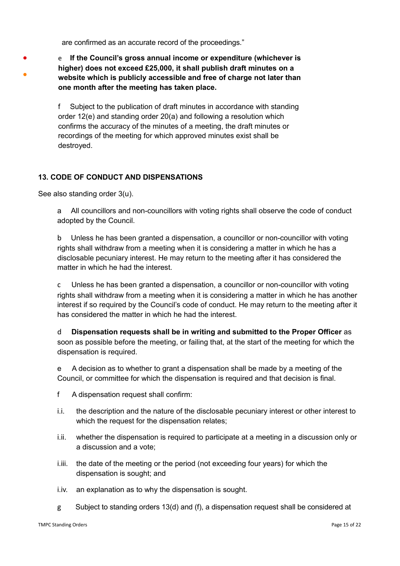are confirmed as an accurate record of the proceedings."

- e **If the Council's gross annual income or expenditure (whichever is higher) does not exceed £25,000, it shall publish draft minutes on a website which is publicly accessible and free of charge not later than one month after the meeting has taken place.**
	- f Subject to the publication of draft minutes in accordance with standing order 12(e) and standing order 20(a) and following a resolution which confirms the accuracy of the minutes of a meeting, the draft minutes or recordings of the meeting for which approved minutes exist shall be destroyed.

## **13. CODE OF CONDUCT AND DISPENSATIONS**

See also standing order 3(u).

●

●

a All councillors and non-councillors with voting rights shall observe the code of conduct adopted by the Council.

b Unless he has been granted a dispensation, a councillor or non-councillor with voting rights shall withdraw from a meeting when it is considering a matter in which he has a disclosable pecuniary interest. He may return to the meeting after it has considered the matter in which he had the interest.

c Unless he has been granted a dispensation, a councillor or non-councillor with voting rights shall withdraw from a meeting when it is considering a matter in which he has another interest if so required by the Council's code of conduct. He may return to the meeting after it has considered the matter in which he had the interest.

d **Dispensation requests shall be in writing and submitted to the Proper Officer** as soon as possible before the meeting, or failing that, at the start of the meeting for which the dispensation is required.

e A decision as to whether to grant a dispensation shall be made by a meeting of the Council, or committee for which the dispensation is required and that decision is final.

- f A dispensation request shall confirm:
- i.i. the description and the nature of the disclosable pecuniary interest or other interest to which the request for the dispensation relates;
- i.ii. whether the dispensation is required to participate at a meeting in a discussion only or a discussion and a vote;
- i.iii. the date of the meeting or the period (not exceeding four years) for which the dispensation is sought; and
- i.iv. an explanation as to why the dispensation is sought.
- g Subject to standing orders 13(d) and (f), a dispensation request shall be considered at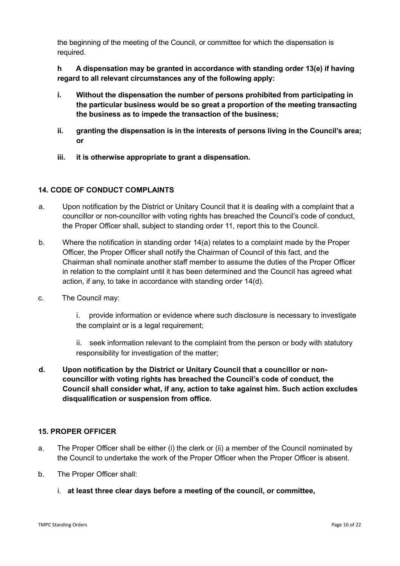the beginning of the meeting of the Council, or committee for which the dispensation is required.

**h A dispensation may be granted in accordance with standing order 13(e) if having regard to all relevant circumstances any of the following apply:**

- **i. Without the dispensation the number of persons prohibited from participating in the particular business would be so great a proportion of the meeting transacting the business as to impede the transaction of the business;**
- **ii. granting the dispensation is in the interests of persons living in the Council's area; or**
- **iii. it is otherwise appropriate to grant a dispensation.**

# **14. CODE OF CONDUCT COMPLAINTS**

- a. Upon notification by the District or Unitary Council that it is dealing with a complaint that a councillor or non-councillor with voting rights has breached the Council's code of conduct, the Proper Officer shall, subject to standing order 11, report this to the Council.
- b. Where the notification in standing order 14(a) relates to a complaint made by the Proper Officer, the Proper Officer shall notify the Chairman of Council of this fact, and the Chairman shall nominate another staff member to assume the duties of the Proper Officer in relation to the complaint until it has been determined and the Council has agreed what action, if any, to take in accordance with standing order 14(d).
- c. The Council may:
	- i. provide information or evidence where such disclosure is necessary to investigate the complaint or is a legal requirement;
	- ii. seek information relevant to the complaint from the person or body with statutory responsibility for investigation of the matter;
- **d. Upon notification by the District or Unitary Council that a councillor or noncouncillor with voting rights has breached the Council's code of conduct, the Council shall consider what, if any, action to take against him. Such action excludes disqualification or suspension from office.**

# **15. PROPER OFFICER**

- a. The Proper Officer shall be either (i) the clerk or (ii) a member of the Council nominated by the Council to undertake the work of the Proper Officer when the Proper Officer is absent.
- b. The Proper Officer shall:
	- i. **at least three clear days before a meeting of the council, or committee,**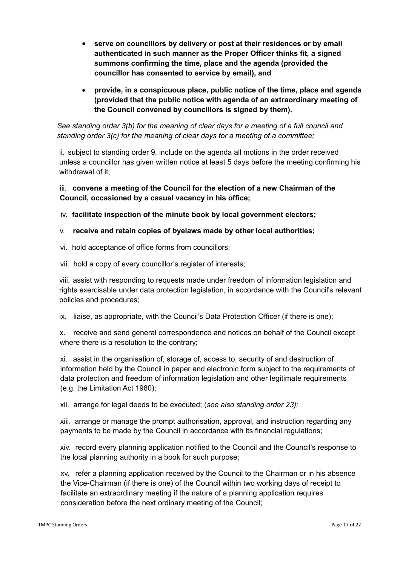- **serve on councillors by delivery or post at their residences or by email authenticated in such manner as the Proper Officer thinks fit, a signed summons confirming the time, place and the agenda (provided the councillor has consented to service by email), and**
- **provide, in a conspicuous place, public notice of the time, place and agenda (provided that the public notice with agenda of an extraordinary meeting of the Council convened by councillors is signed by them).**

*See standing order 3(b) for the meaning of clear days for a meeting of a full council and standing order 3(c) for the meaning of clear days for a meeting of a committee;*

ii. subject to standing order 9, include on the agenda all motions in the order received unless a councillor has given written notice at least 5 days before the meeting confirming his withdrawal of it:

iii. **convene a meeting of the Council for the election of a new Chairman of the Council, occasioned by a casual vacancy in his office;**

iv. **facilitate inspection of the minute book by local government electors;**

# v. **receive and retain copies of byelaws made by other local authorities;**

- vi. hold acceptance of office forms from councillors;
- vii. hold a copy of every councillor's register of interests;

viii. assist with responding to requests made under freedom of information legislation and rights exercisable under data protection legislation, in accordance with the Council's relevant policies and procedures;

ix. liaise, as appropriate, with the Council's Data Protection Officer (if there is one);

x. receive and send general correspondence and notices on behalf of the Council except where there is a resolution to the contrary;

xi. assist in the organisation of, storage of, access to, security of and destruction of information held by the Council in paper and electronic form subject to the requirements of data protection and freedom of information legislation and other legitimate requirements (e.g. the Limitation Act 1980);

xii. arrange for legal deeds to be executed; (*see also standing order 23);*

xiii. arrange or manage the prompt authorisation, approval, and instruction regarding any payments to be made by the Council in accordance with its financial regulations;

xiv. record every planning application notified to the Council and the Council's response to the local planning authority in a book for such purpose;

xv. refer a planning application received by the Council to the Chairman or in his absence the Vice-Chairman (if there is one) of the Council within two working days of receipt to facilitate an extraordinary meeting if the nature of a planning application requires consideration before the next ordinary meeting of the Council;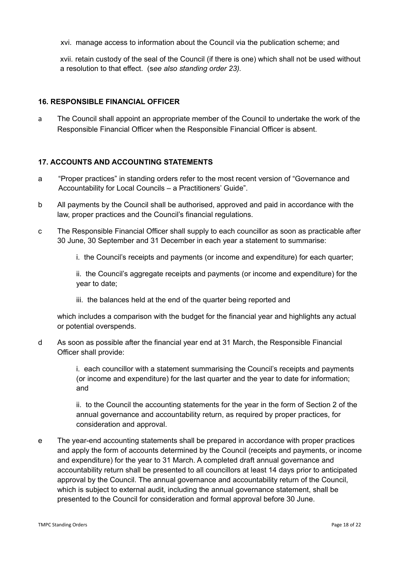xvi. manage access to information about the Council via the publication scheme; and

xvii. retain custody of the seal of the Council (if there is one) which shall not be used without a resolution to that effect. (s*ee also standing order 23).*

# **16. RESPONSIBLE FINANCIAL OFFICER**

a The Council shall appoint an appropriate member of the Council to undertake the work of the Responsible Financial Officer when the Responsible Financial Officer is absent.

# **17. ACCOUNTS AND ACCOUNTING STATEMENTS**

- a "Proper practices" in standing orders refer to the most recent version of "Governance and Accountability for Local Councils – a Practitioners' Guide".
- b All payments by the Council shall be authorised, approved and paid in accordance with the law, proper practices and the Council's financial regulations.
- c The Responsible Financial Officer shall supply to each councillor as soon as practicable after 30 June, 30 September and 31 December in each year a statement to summarise:
	- i. the Council's receipts and payments (or income and expenditure) for each quarter;

ii. the Council's aggregate receipts and payments (or income and expenditure) for the year to date;

iii. the balances held at the end of the quarter being reported and

which includes a comparison with the budget for the financial year and highlights any actual or potential overspends.

d As soon as possible after the financial year end at 31 March, the Responsible Financial Officer shall provide:

> i. each councillor with a statement summarising the Council's receipts and payments (or income and expenditure) for the last quarter and the year to date for information; and

ii. to the Council the accounting statements for the year in the form of Section 2 of the annual governance and accountability return, as required by proper practices, for consideration and approval.

e The year-end accounting statements shall be prepared in accordance with proper practices and apply the form of accounts determined by the Council (receipts and payments, or income and expenditure) for the year to 31 March. A completed draft annual governance and accountability return shall be presented to all councillors at least 14 days prior to anticipated approval by the Council. The annual governance and accountability return of the Council, which is subject to external audit, including the annual governance statement, shall be presented to the Council for consideration and formal approval before 30 June.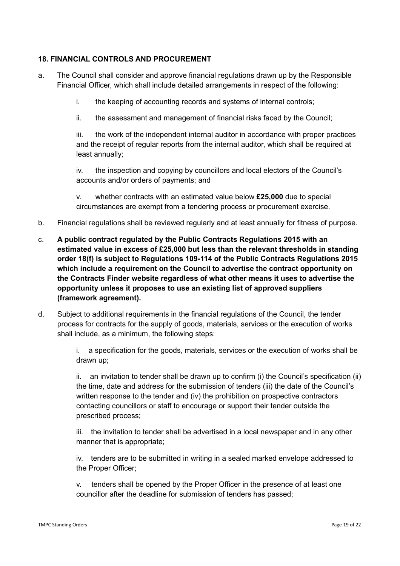# **18. FINANCIAL CONTROLS AND PROCUREMENT**

- a. The Council shall consider and approve financial regulations drawn up by the Responsible Financial Officer, which shall include detailed arrangements in respect of the following:
	- i. the keeping of accounting records and systems of internal controls;
	- ii. the assessment and management of financial risks faced by the Council;

iii. the work of the independent internal auditor in accordance with proper practices and the receipt of regular reports from the internal auditor, which shall be required at least annually;

iv. the inspection and copying by councillors and local electors of the Council's accounts and/or orders of payments; and

v. whether contracts with an estimated value below **£25,000** due to special circumstances are exempt from a tendering process or procurement exercise.

- b. Financial regulations shall be reviewed regularly and at least annually for fitness of purpose.
- c. **A public contract regulated by the Public Contracts Regulations 2015 with an estimated value in excess of £25,000 but less than the relevant thresholds in standing order 18(f) is subject to Regulations 109-114 of the Public Contracts Regulations 2015 which include a requirement on the Council to advertise the contract opportunity on the Contracts Finder website regardless of what other means it uses to advertise the opportunity unless it proposes to use an existing list of approved suppliers (framework agreement).**
- d. Subject to additional requirements in the financial regulations of the Council, the tender process for contracts for the supply of goods, materials, services or the execution of works shall include, as a minimum, the following steps:

i. a specification for the goods, materials, services or the execution of works shall be drawn up;

ii. an invitation to tender shall be drawn up to confirm (i) the Council's specification (ii) the time, date and address for the submission of tenders (iii) the date of the Council's written response to the tender and (iv) the prohibition on prospective contractors contacting councillors or staff to encourage or support their tender outside the prescribed process;

iii. the invitation to tender shall be advertised in a local newspaper and in any other manner that is appropriate;

iv. tenders are to be submitted in writing in a sealed marked envelope addressed to the Proper Officer;

v. tenders shall be opened by the Proper Officer in the presence of at least one councillor after the deadline for submission of tenders has passed;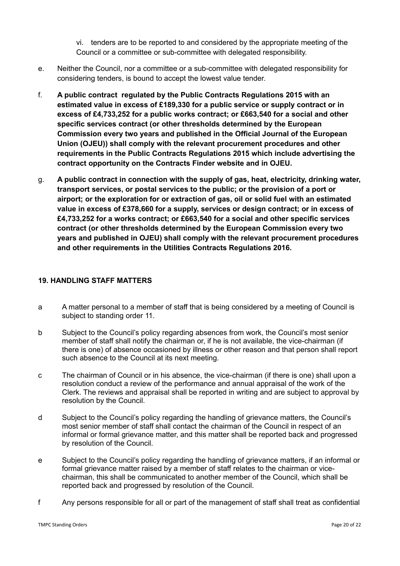vi. tenders are to be reported to and considered by the appropriate meeting of the Council or a committee or sub-committee with delegated responsibility.

- e. Neither the Council, nor a committee or a sub-committee with delegated responsibility for considering tenders, is bound to accept the lowest value tender.
- f. **A public contract regulated by the Public Contracts Regulations 2015 with an estimated value in excess of £189,330 for a public service or supply contract or in excess of £4,733,252 for a public works contract; or £663,540 for a social and other specific services contract (or other thresholds determined by the European Commission every two years and published in the Official Journal of the European Union (OJEU)) shall comply with the relevant procurement procedures and other requirements in the Public Contracts Regulations 2015 which include advertising the contract opportunity on the Contracts Finder website and in OJEU.**
- g. **A public contract in connection with the supply of gas, heat, electricity, drinking water, transport services, or postal services to the public; or the provision of a port or airport; or the exploration for or extraction of gas, oil or solid fuel with an estimated value in excess of £378,660 for a supply, services or design contract; or in excess of £4,733,252 for a works contract; or £663,540 for a social and other specific services contract (or other thresholds determined by the European Commission every two years and published in OJEU) shall comply with the relevant procurement procedures and other requirements in the Utilities Contracts Regulations 2016.**

## **19. HANDLING STAFF MATTERS**

- a A matter personal to a member of staff that is being considered by a meeting of Council is subject to standing order 11.
- b Subject to the Council's policy regarding absences from work, the Council's most senior member of staff shall notify the chairman or, if he is not available, the vice-chairman (if there is one) of absence occasioned by illness or other reason and that person shall report such absence to the Council at its next meeting.
- c The chairman of Council or in his absence, the vice-chairman (if there is one) shall upon a resolution conduct a review of the performance and annual appraisal of the work of the Clerk. The reviews and appraisal shall be reported in writing and are subject to approval by resolution by the Council.
- d Subject to the Council's policy regarding the handling of grievance matters, the Council's most senior member of staff shall contact the chairman of the Council in respect of an informal or formal grievance matter, and this matter shall be reported back and progressed by resolution of the Council.
- e Subject to the Council's policy regarding the handling of grievance matters, if an informal or formal grievance matter raised by a member of staff relates to the chairman or vicechairman, this shall be communicated to another member of the Council, which shall be reported back and progressed by resolution of the Council.
- f Any persons responsible for all or part of the management of staff shall treat as confidential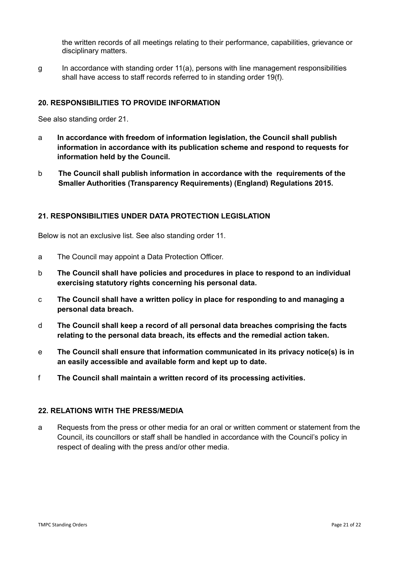the written records of all meetings relating to their performance, capabilities, grievance or disciplinary matters.

g In accordance with standing order 11(a), persons with line management responsibilities shall have access to staff records referred to in standing order 19(f).

## **20. RESPONSIBILITIES TO PROVIDE INFORMATION**

See also standing order 21.

- a **In accordance with freedom of information legislation, the Council shall publish information in accordance with its publication scheme and respond to requests for information held by the Council.**
- b **The Council shall publish information in accordance with the requirements of the Smaller Authorities (Transparency Requirements) (England) Regulations 2015.**

## **21. RESPONSIBILITIES UNDER DATA PROTECTION LEGISLATION**

Below is not an exclusive list. See also standing order 11.

- a The Council may appoint a Data Protection Officer.
- b **The Council shall have policies and procedures in place to respond to an individual exercising statutory rights concerning his personal data.**
- c **The Council shall have a written policy in place for responding to and managing a personal data breach.**
- d **The Council shall keep a record of all personal data breaches comprising the facts relating to the personal data breach, its effects and the remedial action taken.**
- e **The Council shall ensure that information communicated in its privacy notice(s) is in an easily accessible and available form and kept up to date.**
- f **The Council shall maintain a written record of its processing activities.**

## **22. RELATIONS WITH THE PRESS/MEDIA**

a Requests from the press or other media for an oral or written comment or statement from the Council, its councillors or staff shall be handled in accordance with the Council's policy in respect of dealing with the press and/or other media.